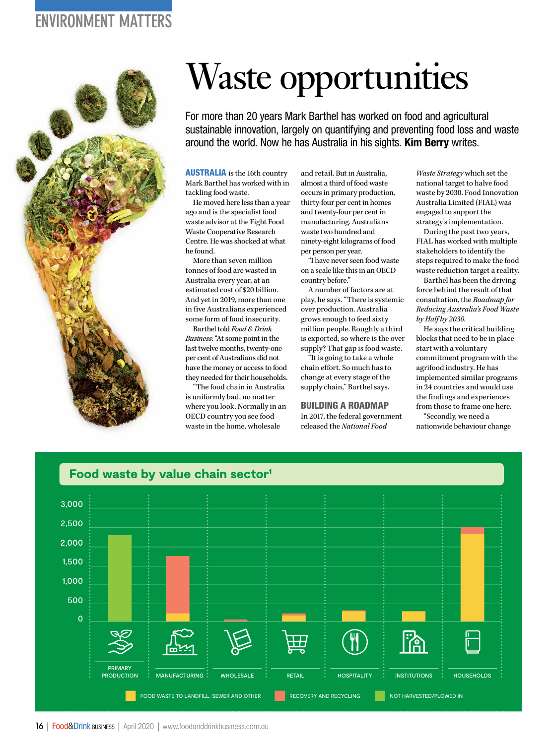## ENVIRONMENT MATTERS



# Waste opportunities

For more than 20 years Mark Barthel has worked on food and agricultural sustainable innovation, largely on quantifying and preventing food loss and waste around the world. Now he has Australia in his sights. **Kim Berry** writes.

AUSTRALIA is the 16th country Mark Barthel has worked with in tackling food waste.

He moved here less than a year ago and is the specialist food waste advisor at the Fight Food Waste Cooperative Research Centre. He was shocked at what he found.

More than seven million tonnes of food are wasted in Australia every year, at an estimated cost of \$20 billion. And yet in 2019, more than one in five Australians experienced some form of food insecurity.

Barthel told *Food &Drink Business*: "At some point in the last twelve months, twenty-one per cent of Australians did not have the money or access to food they needed for their households.

"The food chain in Australia is uniformly bad, no matter where you look. Normally in an OECD country you see food waste in the home, wholesale

and retail. But in Australia, almost a third of food waste occurs in primary production, thirty-four per cent in homes and twenty-four per cent in manufacturing. Australians waste two hundred and ninety-eight kilograms of food per person per year.

"I have never seen food waste on a scale like this in an OECD country before."

A number of factors are at play, he says. "There is systemic over production. Australia grows enough to feed sixty million people. Roughly a third is exported, so where is the over supply? That gap is food waste.

"It is going to take a whole chain effort. So much has to change at every stage of the supply chain," Barthel says.

#### BUILDING A ROADMAP

In 2017, the federal government released the *National Food* 

*Waste Strategy* which set the national target to halve food waste by 2030. Food Innovation Australia Limited (FIAL) was engaged to support the strategy's implementation.

During the past two years, FIAL has worked with multiple stakeholders to identify the steps required to make the food waste reduction target a reality.

Barthel has been the driving force behind the result of that consultation, the *Roadmap for Reducing Australia's Food Waste by Half by 2030*.

He says the critical building blocks that need to be in place start with a voluntary commitment program with the agrifood industry. He has implemented similar programs in 24 countries and would use the findings and experiences from those to frame one here.

"Secondly, we need a nationwide behaviour change